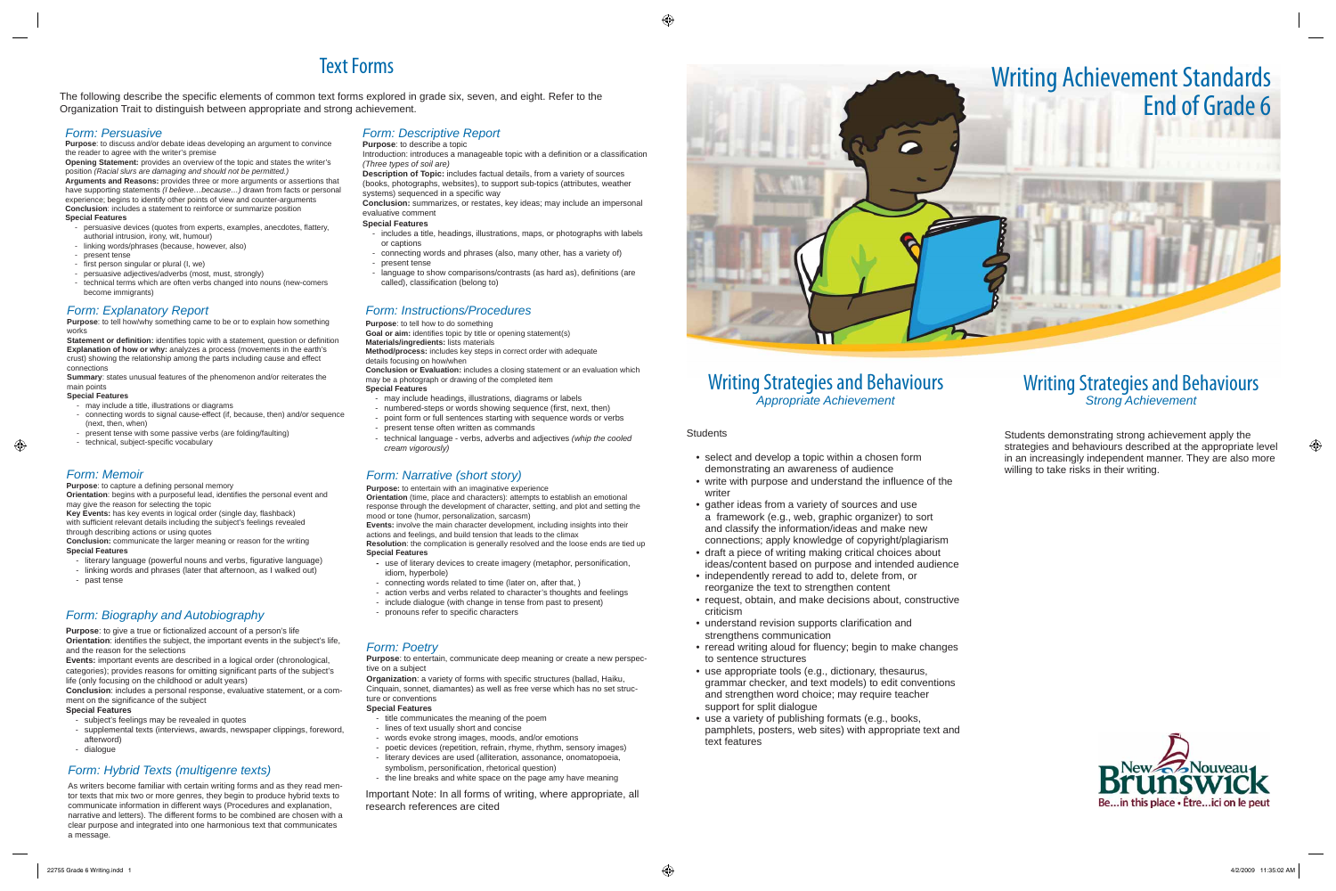## Writing Strategies and Behaviours *Appropriate Achievement*

#### **Students**

- select and develop a topic within a chosen form demonstrating an awareness of audience Form: Narrative (short story) the section of the conductional the influence of the section willing to take risks in their writing.
	- write with purpose and understand the influence of the writer
	- gather ideas from a variety of sources and use a framework (e.g., web, graphic organizer) to sort and classify the information/ideas and make new connections; apply knowledge of copyright/plagiarism
	- draft a piece of writing making critical choices about ideas/content based on purpose and intended audience
	- independently reread to add to, delete from, or reorganize the text to strengthen content
	- request, obtain, and make decisions about, constructive criticism
	- understand revision supports clarification and strengthens communication
	- reread writing aloud for fluency; begin to make changes to sentence structures
	- use appropriate tools (e.g., dictionary, thesaurus, grammar checker, and text models) to edit conventions and strengthen word choice; may require teacher support for split dialogue
	- use a variety of publishing formats (e.g., books, pamphlets, posters, web sites) with appropriate text and text features

The following describe the specific elements of common text forms explored in grade six, seven, and eight. Refer to the Organization Trait to distinguish between appropriate and strong achievement.

- persuasive devices (quotes from experts, examples, anecdotes, flattery, authorial intrusion, irony, wit, humour)
- linking words/phrases (because, however, also)
- present tense
- first person singular or plural (I, we)
- persuasive adjectives/adverbs (most, must, strongly)
- technical terms which are often verbs changed into nouns (new-comers become immigrants)

## Writing Strategies and Behaviours *Strong Achievement*

# Text Forms

Introduction: introduces a manageable topic with a definition or a classification *(Three types of soil are)*

**Description of Topic:** includes factual details, from a variety of sources (books, photographs, websites), to support sub-topics (attributes, weather systems) sequenced in a specific way

- includes a title, headings, illustrations, maps, or photographs with labels or captions
- connecting words and phrases (also, many other, has a variety of)
- present tense
- language to show comparisons/contrasts (as hard as), definitions (are called), classification (belong to)

## *Form: Persuasive*

**Purpose**: to discuss and/or debate ideas developing an argument to convince the reader to agree with the writer's premise

**Opening Statement:** provides an overview of the topic and states the writer's position *(Racial slurs are damaging and should not be permitted.)* **Arguments and Reasons:** provides three or more arguments or assertions that have supporting statements *(I believe…because…)* drawn from facts or personal experience; begins to identify other points of view and counter-arguments **Conclusion**: includes a statement to reinforce or summarize position

**Orientation:** begins with a purposeful lead, identifies the personal event and may give the reason for selecting the topic

Key Events: has key events in logical order (single day, flashback) with sufficient relevant details including the subject's feelings revealed through describing actions or using quotes

- literary language (powerful nouns and verbs, figurative language)
- linking words and phrases (later that afternoon, as I walked out)
- past tense

#### **Special Features**

**Purpose**: to tell how/why something came to be or to explain how something works

**Statement or definition:** identifies topic with a statement, question or definition **Explanation of how or why:** analyzes a process (movements in the earth's crust) showing the relationship among the parts including cause and effect connections

- may include a title, illustrations or diagrams
- connecting words to signal cause-effect (if, because, then) and/or sequence (next, then, when)
- present tense with some passive verbs (are folding/faulting)
- technical, subject-specific vocabulary

Purpose: to capture a defining personal memory

## *Form: Descriptive Report*

#### **Purpose:** to describe a topic

**Purpose**: to give a true or fictionalized account of a person's life **Orientation**: identifies the subject, the important events in the subject's life, and the reason for the selections

**Conclusion**: includes a personal response, evaluative statement, or a comment on the significance of the subject

As writers become familiar with certain writing forms and as they read mentor texts that mix two or more genres, they begin to produce hybrid texts to communicate information in different ways (Procedures and explanation, narrative and letters). The different forms to be combined are chosen with a clear purpose and integrated into one harmonious text that communicates a message.

**Conclusion:** summarizes, or restates, key ideas; may include an impersonal evaluative comment

#### **Special Features**

**Organization**: a variety of forms with specific structures (ballad, Haiku, Cinquain, sonnet, diamantes) as well as free verse which has no set structure or conventions

# Writing Achievement Standards



Students demonstrating strong achievement apply the strategies and behaviours described at the appropriate level in an increasingly independent manner. They are also more



**Goal or aim:** identifies topic by title or opening statement(s) **Materials/ingredients:** lists materials

**Conclusion:** communicate the larger meaning or reason for the writing **Special Features**

### *Form: Explanatory Report*

**Summary**: states unusual features of the phenomenon and/or reiterates the main points

#### **Special Features**

## *Form: Biography and Autobiography*

**Events:** important events are described in a logical order (chronological, categories); provides reasons for omitting significant parts of the subject's life (only focusing on the childhood or adult years)

#### **Special Features**

- subject's feelings may be revealed in quotes
- supplemental texts (interviews, awards, newspaper clippings, foreword, afterword)
- dialogue

#### *Form: Hybrid Texts (multigenre texts)*

## *Form: Poetry*

**Purpose**: to entertain, communicate deep meaning or create a new perspective on a subject

#### **Special Features**

- title communicates the meaning of the poem
- lines of text usually short and concise
- words evoke strong images, moods, and/or emotions
- poetic devices (repetition, refrain, rhyme, rhythm, sensory images)
- literary devices are used (alliteration, assonance, onomatopoeia,
- symbolism, personification, rhetorical question)
- the line breaks and white space on the page amy have meaning

### *Form: Instructions/Procedures*

#### **Purpose**: to tell how to do something

**Method/process:** includes key steps in correct order with adequate details focusing on how/when

**Conclusion or Evaluation:** includes a closing statement or an evaluation which may be a photograph or drawing of the completed item

#### **Special Features**

- may include headings, illustrations, diagrams or labels
- numbered-steps or words showing sequence (first, next, then) - point form or full sentences starting with sequence words or verbs
- present tense often written as commands
- technical language verbs, adverbs and adjectives *(whip the cooled cream vigorously)*

## *Form: Narrative (short story)*

**Purpose:** to entertain with an imaginative experience

**Orientation** (time, place and characters): attempts to establish an emotional response through the development of character, setting, and plot and setting the mood or tone (humor, personalization, sarcasm)

**Events:** involve the main character development, including insights into their actions and feelings, and build tension that leads to the climax **Resolution**: the complication is generally resolved and the loose ends are tied up

**Special Features**

- use of literary devices to create imagery (metaphor, personification, idiom, hyperbole)
- connecting words related to time (later on, after that, )
- action verbs and verbs related to character's thoughts and feelings
- include dialogue (with change in tense from past to present)
- pronouns refer to specific characters

Important Note: In all forms of writing, where appropriate, all research references are cited